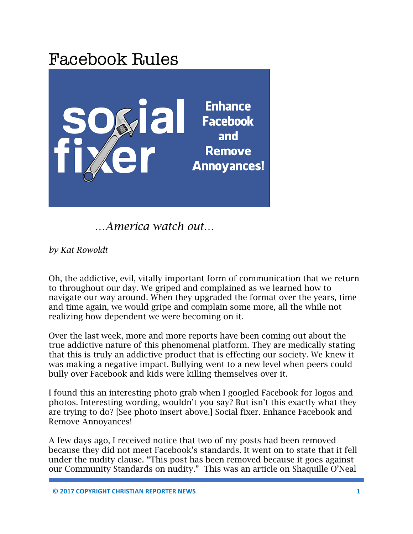

 *…America watch out…*

*by Kat Rowoldt*

Oh, the addictive, evil, vitally important form of communication that we return to throughout our day. We griped and complained as we learned how to navigate our way around. When they upgraded the format over the years, time and time again, we would gripe and complain some more, all the while not realizing how dependent we were becoming on it.

Over the last week, more and more reports have been coming out about the true addictive nature of this phenomenal platform. They are medically stating that this is truly an addictive product that is effecting our society. We knew it was making a negative impact. Bullying went to a new level when peers could bully over Facebook and kids were killing themselves over it.

I found this an interesting photo grab when I googled Facebook for logos and photos. Interesting wording, wouldn't you say? But isn't this exactly what they are trying to do? [See photo insert above.] Social fixer. Enhance Facebook and Remove Annoyances!

A few days ago, I received notice that two of my posts had been removed because they did not meet Facebook's standards. It went on to state that it fell under the nudity clause. "This post has been removed because it goes against our Community Standards on nudity." This was an article on Shaquille O'Neal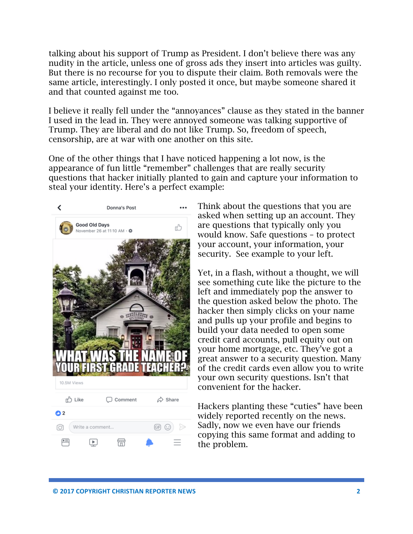talking about his support of Trump as President. I don't believe there was any nudity in the article, unless one of gross ads they insert into articles was guilty. But there is no recourse for you to dispute their claim. Both removals were the same article, interestingly. I only posted it once, but maybe someone shared it and that counted against me too.

I believe it really fell under the "annoyances" clause as they stated in the banner I used in the lead in. They were annoyed someone was talking supportive of Trump. They are liberal and do not like Trump. So, freedom of speech, censorship, are at war with one another on this site.

One of the other things that I have noticed happening a lot now, is the appearance of fun little "remember" challenges that are really security questions that hacker initially planted to gain and capture your information to steal your identity. Here's a perfect example:



Think about the questions that you are asked when setting up an account. They are questions that typically only you would know. Safe questions – to protect your account, your information, your security. See example to your left.

Yet, in a flash, without a thought, we will see something cute like the picture to the left and immediately pop the answer to the question asked below the photo. The hacker then simply clicks on your name and pulls up your profile and begins to build your data needed to open some credit card accounts, pull equity out on your home mortgage, etc. They've got a great answer to a security question. Many of the credit cards even allow you to write your own security questions. Isn't that convenient for the hacker.

Hackers planting these "cuties" have been widely reported recently on the news. Sadly, now we even have our friends copying this same format and adding to the problem.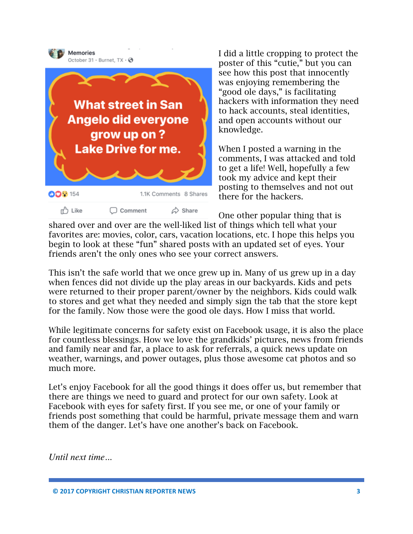

I did a little cropping to protect the poster of this "cutie," but you can see how this post that innocently was enjoying remembering the "good ole days," is facilitating hackers with information they need to hack accounts, steal identities, and open accounts without our knowledge.

When I posted a warning in the comments, I was attacked and told to get a life! Well, hopefully a few took my advice and kept their posting to themselves and not out there for the hackers.

One other popular thing that is shared over and over are the well-liked list of things which tell what your favorites are: movies, color, cars, vacation locations, etc. I hope this helps you begin to look at these "fun" shared posts with an updated set of eyes. Your friends aren't the only ones who see your correct answers.

This isn't the safe world that we once grew up in. Many of us grew up in a day when fences did not divide up the play areas in our backyards. Kids and pets were returned to their proper parent/owner by the neighbors. Kids could walk to stores and get what they needed and simply sign the tab that the store kept for the family. Now those were the good ole days. How I miss that world.

While legitimate concerns for safety exist on Facebook usage, it is also the place for countless blessings. How we love the grandkids' pictures, news from friends and family near and far, a place to ask for referrals, a quick news update on weather, warnings, and power outages, plus those awesome cat photos and so much more.

Let's enjoy Facebook for all the good things it does offer us, but remember that there are things we need to guard and protect for our own safety. Look at Facebook with eyes for safety first. If you see me, or one of your family or friends post something that could be harmful, private message them and warn them of the danger. Let's have one another's back on Facebook.

*Until next time...* 

**© 2017 COPYRIGHT CHRISTIAN REPORTER NEWS 3**